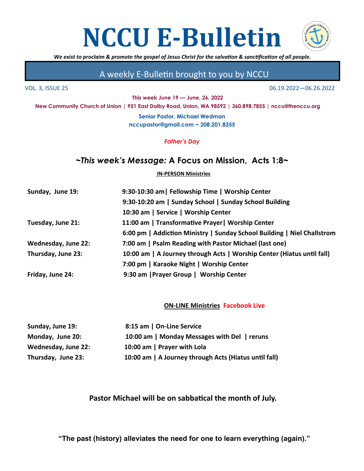



*We exist to proclaim & promote the gospel of Jesus Christ for the salvation & sanctification of all people.* 

## A weekly E-Bulletin brought to you by NCCU

**This week June 19 — June, 26, 2022**

VOL. 3, ISSUE 25 06.19.2022—06.26.2022

**New Community Church of Union | 951 East Dalby Road, Union, WA 98592 | 360.898.7855 | nccu@thenccu.org**

**Senior Pastor, Michael Wedman nccupastor@gmail.com ~ 208.201.8355**

*Father's Day*

## *~This week's Message:* **A Focus on Mission, Acts 1:8~**

#### **IN-PERSON Ministries**

| Sunday, June 19:    | 9:30-10:30 am   Fellowship Time   Worship Center                        |
|---------------------|-------------------------------------------------------------------------|
|                     | 9:30-10:20 am   Sunday School   Sunday School Building                  |
|                     | 10:30 am   Service   Worship Center                                     |
| Tuesday, June 21:   | 11:00 am   Transformative Prayer   Worship Center                       |
|                     | 6:00 pm   Addiction Ministry   Sunday School Building   Niel Challstrom |
| Wednesday, June 22: | 7:00 am   Psalm Reading with Pastor Michael (last one)                  |
| Thursday, June 23:  | 10:00 am   A Journey through Acts   Worship Center (Hiatus until fall)  |
|                     | 7:00 pm   Karaoke Night   Worship Center                                |
| Friday, June 24:    | 9:30 am   Prayer Group   Worship Center                                 |
|                     |                                                                         |

#### **ON-LINE Ministries Facebook Live**

| Sunday, June 19:    | 8:15 am   On-Line Service                             |
|---------------------|-------------------------------------------------------|
| Monday, June 20:    | 10:00 am   Monday Messages with Del   reruns          |
| Wednesday, June 22: | 10:00 am   Prayer with Lola                           |
| Thursday, June 23:  | 10:00 am   A Journey through Acts (Hiatus until fall) |

## **Pastor Michael will be on sabbatical the month of July.**

**"The past (history) alleviates the need for one to learn everything (again)."**